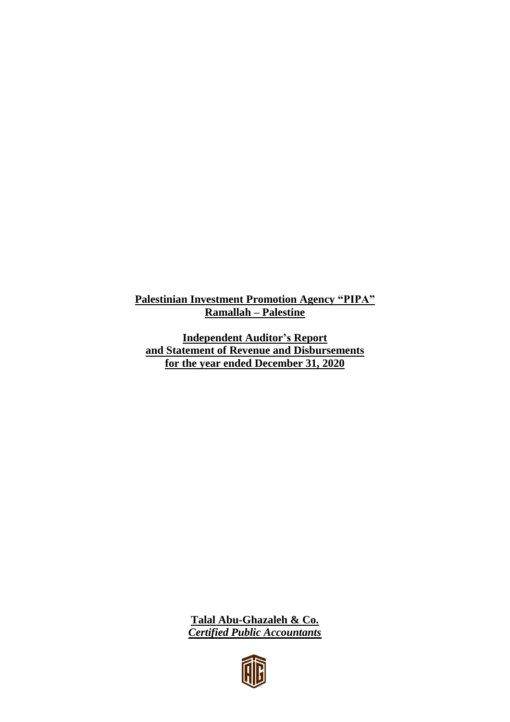**Palestinian Investment Promotion Agency "PIPA" Ramallah – Palestine**

**Independent Auditor's Report and Statement of Revenue and Disbursements for the year ended December 31, 2020**

> **Talal Abu-Ghazaleh & Co.** *Certified Public Accountants*

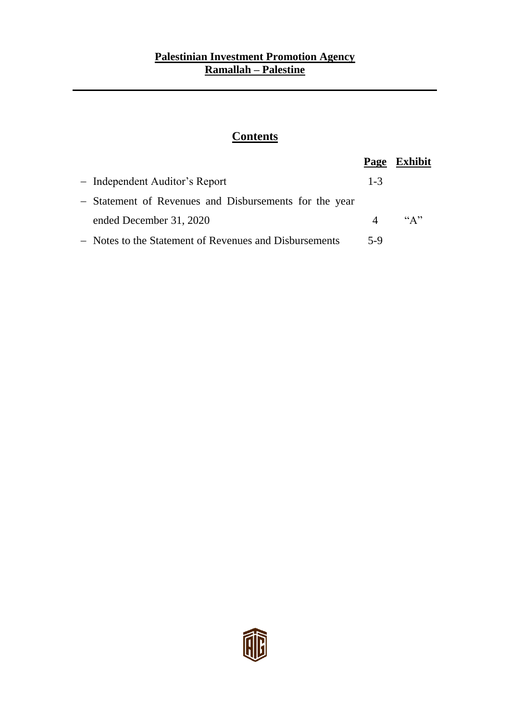# **Contents**

|                                                        | Page     | <b>Exhibit</b>                             |
|--------------------------------------------------------|----------|--------------------------------------------|
| - Independent Auditor's Report                         | $1 - 3$  |                                            |
| - Statement of Revenues and Disbursements for the year |          |                                            |
| ended December 31, 2020                                | $\Delta$ | $\mathfrak{a}$ $\mathbf{A}$ $\mathfrak{p}$ |
| - Notes to the Statement of Revenues and Disbursements | $5-9$    |                                            |

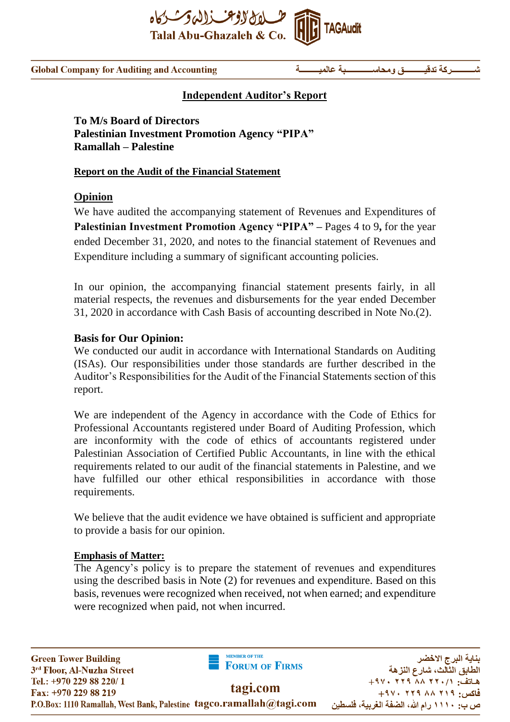

**Global Company for Auditing and Accounting** 

<mark>ر كة تدقي</mark> ــة عالمد ـق ومحاس

## **Independent Auditor's Report**

ã

**To M/s Board of Directors Palestinian Investment Promotion Agency "PIPA" Ramallah – Palestine**

#### **Report on the Audit of the Financial Statement**

#### **Opinion**

We have audited the accompanying statement of Revenues and Expenditures of **Palestinian Investment Promotion Agency "PIPA" –** Pages 4 to 9**,** for the year ended December 31, 2020, and notes to the financial statement of Revenues and Expenditure including a summary of significant accounting policies.

In our opinion, the accompanying financial statement presents fairly, in all material respects, the revenues and disbursements for the year ended December 31, 2020 in accordance with Cash Basis of accounting described in Note No.(2).

#### **Basis for Our Opinion:**

We conducted our audit in accordance with International Standards on Auditing (ISAs). Our responsibilities under those standards are further described in the Auditor's Responsibilities for the Audit of the Financial Statements section of this report.

We are independent of the Agency in accordance with the Code of Ethics for Professional Accountants registered under Board of Auditing Profession, which are inconformity with the code of ethics of accountants registered under Palestinian Association of Certified Public Accountants, in line with the ethical requirements related to our audit of the financial statements in Palestine, and we have fulfilled our other ethical responsibilities in accordance with those requirements.

We believe that the audit evidence we have obtained is sufficient and appropriate to provide a basis for our opinion.

#### **Emphasis of Matter:**

The Agency's policy is to prepare the statement of revenues and expenditures using the described basis in Note (2) for revenues and expenditure. Based on this basis, revenues were recognized when received, not when earned; and expenditure were recognized when paid, not when incurred.

MEMBER OF THE **Green Tower Building FORUM OF FIRMS** 3rd Floor, Al-Nuzha Street Tel.: +970 229 88 220/1 tagi.com Fax: +970 229 88 219 P.O.Box: 1110 Ramallah, West Bank, Palestine tagco.ramallah@tagi.com

بناية البرج الاخضر الطابق الثالث، شارع النزهة هاتف: ١/ ٢٢٠ ٨٨ ٢٢٠ ، ٩٧٠  $+9V.$  779  $\wedge\wedge$  719  $\cdot$   $\omega$ ص ب: ١١١٠ رام الله، الضفة الغربية، فلسطين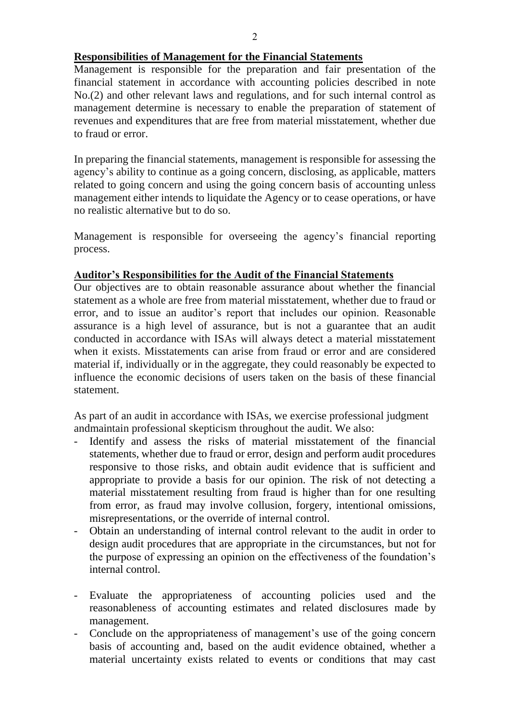#### **Responsibilities of Management for the Financial Statements**

Management is responsible for the preparation and fair presentation of the financial statement in accordance with accounting policies described in note No.(2) and other relevant laws and regulations, and for such internal control as management determine is necessary to enable the preparation of statement of revenues and expenditures that are free from material misstatement, whether due to fraud or error.

In preparing the financial statements, management is responsible for assessing the agency's ability to continue as a going concern, disclosing, as applicable, matters related to going concern and using the going concern basis of accounting unless management either intends to liquidate the Agency or to cease operations, or have no realistic alternative but to do so.

Management is responsible for overseeing the agency's financial reporting process.

#### **Auditor's Responsibilities for the Audit of the Financial Statements**

Our objectives are to obtain reasonable assurance about whether the financial statement as a whole are free from material misstatement, whether due to fraud or error, and to issue an auditor's report that includes our opinion. Reasonable assurance is a high level of assurance, but is not a guarantee that an audit conducted in accordance with ISAs will always detect a material misstatement when it exists. Misstatements can arise from fraud or error and are considered material if, individually or in the aggregate, they could reasonably be expected to influence the economic decisions of users taken on the basis of these financial statement.

As part of an audit in accordance with ISAs, we exercise professional judgment andmaintain professional skepticism throughout the audit. We also:

- Identify and assess the risks of material misstatement of the financial statements, whether due to fraud or error, design and perform audit procedures responsive to those risks, and obtain audit evidence that is sufficient and appropriate to provide a basis for our opinion. The risk of not detecting a material misstatement resulting from fraud is higher than for one resulting from error, as fraud may involve collusion, forgery, intentional omissions, misrepresentations, or the override of internal control.
- Obtain an understanding of internal control relevant to the audit in order to design audit procedures that are appropriate in the circumstances, but not for the purpose of expressing an opinion on the effectiveness of the foundation's internal control.
- Evaluate the appropriateness of accounting policies used and the reasonableness of accounting estimates and related disclosures made by management.
- Conclude on the appropriateness of management's use of the going concern basis of accounting and, based on the audit evidence obtained, whether a material uncertainty exists related to events or conditions that may cast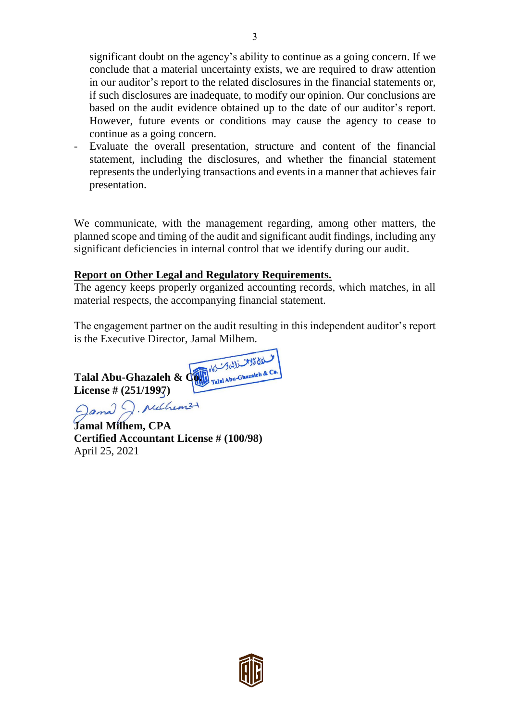significant doubt on the agency's ability to continue as a going concern. If we conclude that a material uncertainty exists, we are required to draw attention in our auditor's report to the related disclosures in the financial statements or, if such disclosures are inadequate, to modify our opinion. Our conclusions are based on the audit evidence obtained up to the date of our auditor's report. However, future events or conditions may cause the agency to cease to continue as a going concern.

Evaluate the overall presentation, structure and content of the financial statement, including the disclosures, and whether the financial statement represents the underlying transactions and events in a manner that achieves fair presentation.

We communicate, with the management regarding, among other matters, the planned scope and timing of the audit and significant audit findings, including any significant deficiencies in internal control that we identify during our audit.

### **Report on Other Legal and Regulatory Requirements.**

The agency keeps properly organized accounting records, which matches, in all material respects, the accompanying financial statement.

The engagement partner on the audit resulting in this independent auditor's report is the Executive Director, Jamal Milhem.

لمقا لأوجز فلاله ومن وكاه Talal Abu-Ghazaleh & **Talal Abu-Ghazaleh & Co. License # (251/1997)**

Nelhem 21 ama

**Jamal Milhem, CPA Certified Accountant License # (100/98)** April 25, 2021

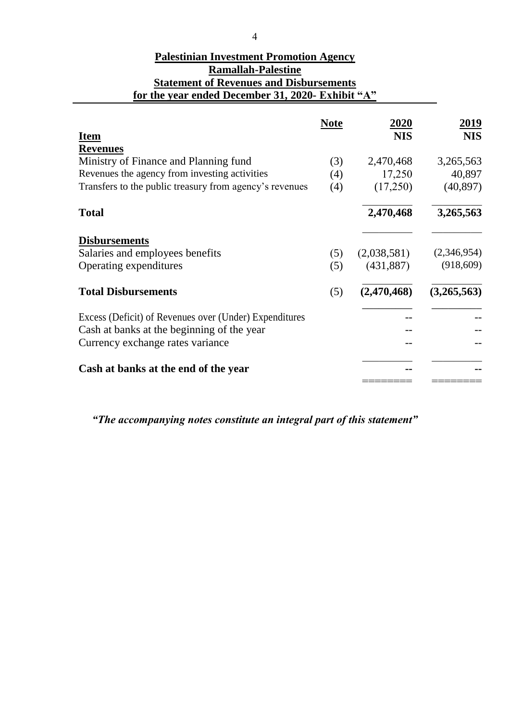# **Palestinian Investment Promotion Agency Ramallah-Palestine Statement of Revenues and Disbursements for the year ended December 31, 2020- Exhibit "A"**

|                                                                                                                                          | <b>Note</b> | 2020        | 2019        |
|------------------------------------------------------------------------------------------------------------------------------------------|-------------|-------------|-------------|
| <b>Item</b>                                                                                                                              |             | <b>NIS</b>  | <b>NIS</b>  |
| <b>Revenues</b>                                                                                                                          |             |             |             |
| Ministry of Finance and Planning fund                                                                                                    | (3)         | 2,470,468   | 3,265,563   |
| Revenues the agency from investing activities                                                                                            | (4)         | 17,250      | 40,897      |
| Transfers to the public treasury from agency's revenues                                                                                  | (4)         | (17,250)    | (40, 897)   |
| <b>Total</b>                                                                                                                             |             | 2,470,468   | 3,265,563   |
| <b>Disbursements</b>                                                                                                                     |             |             |             |
| Salaries and employees benefits                                                                                                          | (5)         | (2,038,581) | (2,346,954) |
| Operating expenditures                                                                                                                   | (5)         | (431, 887)  | (918, 609)  |
| <b>Total Disbursements</b>                                                                                                               | (5)         | (2,470,468) | (3,265,563) |
| Excess (Deficit) of Revenues over (Under) Expenditures<br>Cash at banks at the beginning of the year<br>Currency exchange rates variance |             |             |             |
| Cash at banks at the end of the year                                                                                                     |             |             |             |

*"The accompanying notes constitute an integral part of this statement"*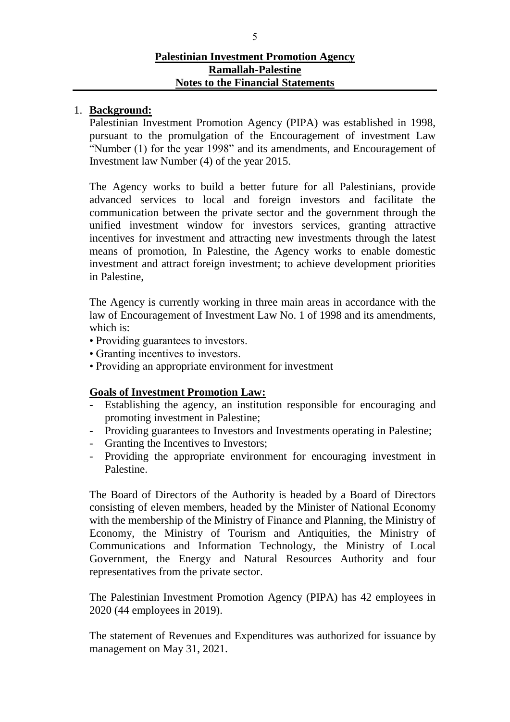## 1. **Background:**

Palestinian Investment Promotion Agency (PIPA) was established in 1998, pursuant to the promulgation of the Encouragement of investment Law "Number (1) for the year 1998" and its amendments, and Encouragement of Investment law Number (4) of the year 2015.

The Agency works to build a better future for all Palestinians, provide advanced services to local and foreign investors and facilitate the communication between the private sector and the government through the unified investment window for investors services, granting attractive incentives for investment and attracting new investments through the latest means of promotion, In Palestine, the Agency works to enable domestic investment and attract foreign investment; to achieve development priorities in Palestine,

The Agency is currently working in three main areas in accordance with the law of Encouragement of Investment Law No. 1 of 1998 and its amendments, which is:

- Providing guarantees to investors.
- Granting incentives to investors.
- Providing an appropriate environment for investment

### **Goals of Investment Promotion Law:**

- Establishing the agency, an institution responsible for encouraging and promoting investment in Palestine;
- Providing guarantees to Investors and Investments operating in Palestine;
- Granting the Incentives to Investors;
- Providing the appropriate environment for encouraging investment in Palestine.

The Board of Directors of the Authority is headed by a Board of Directors consisting of eleven members, headed by the Minister of National Economy with the membership of the Ministry of Finance and Planning, the Ministry of Economy, the Ministry of Tourism and Antiquities, the Ministry of Communications and Information Technology, the Ministry of Local Government, the Energy and Natural Resources Authority and four representatives from the private sector.

The Palestinian Investment Promotion Agency (PIPA) has 42 employees in 2020 (44 employees in 2019).

The statement of Revenues and Expenditures was authorized for issuance by management on May 31, 2021.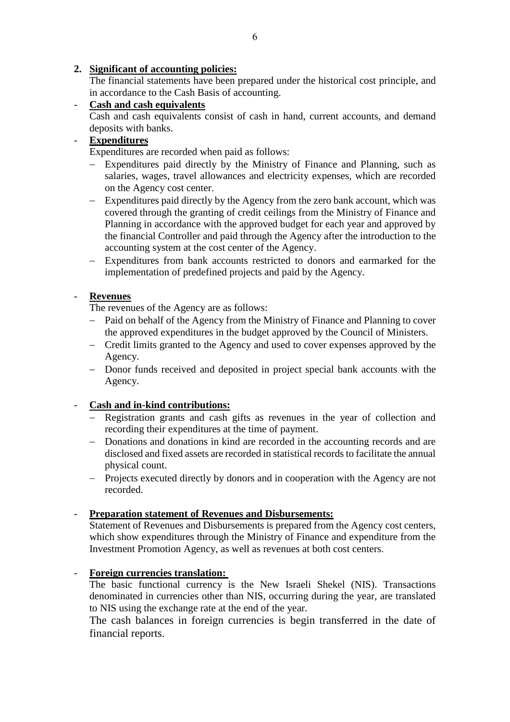#### **2. Significant of accounting policies:**

The financial statements have been prepared under the historical cost principle, and in accordance to the Cash Basis of accounting.

#### - **Cash and cash equivalents**

Cash and cash equivalents consist of cash in hand, current accounts, and demand deposits with banks.

#### - **Expenditures**

Expenditures are recorded when paid as follows:

- Expenditures paid directly by the Ministry of Finance and Planning, such as salaries, wages, travel allowances and electricity expenses, which are recorded on the Agency cost center.
- Expenditures paid directly by the Agency from the zero bank account, which was covered through the granting of credit ceilings from the Ministry of Finance and Planning in accordance with the approved budget for each year and approved by the financial Controller and paid through the Agency after the introduction to the accounting system at the cost center of the Agency.
- Expenditures from bank accounts restricted to donors and earmarked for the implementation of predefined projects and paid by the Agency.

#### - **Revenues**

The revenues of the Agency are as follows:

- Paid on behalf of the Agency from the Ministry of Finance and Planning to cover the approved expenditures in the budget approved by the Council of Ministers.
- Credit limits granted to the Agency and used to cover expenses approved by the Agency.
- Donor funds received and deposited in project special bank accounts with the Agency.

#### - **Cash and in-kind contributions:**

- Registration grants and cash gifts as revenues in the year of collection and recording their expenditures at the time of payment.
- Donations and donations in kind are recorded in the accounting records and are disclosed and fixed assets are recorded in statistical records to facilitate the annual physical count.
- Projects executed directly by donors and in cooperation with the Agency are not recorded.

#### - **Preparation statement of Revenues and Disbursements:**

Statement of Revenues and Disbursements is prepared from the Agency cost centers, which show expenditures through the Ministry of Finance and expenditure from the Investment Promotion Agency, as well as revenues at both cost centers.

#### - **Foreign currencies translation:**

The basic functional currency is the New Israeli Shekel (NIS). Transactions denominated in currencies other than NIS, occurring during the year, are translated to NIS using the exchange rate at the end of the year.

The cash balances in foreign currencies is begin transferred in the date of financial reports.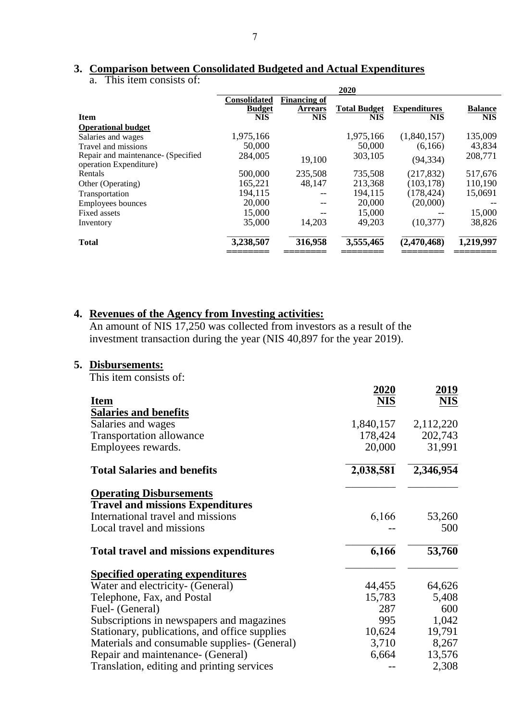#### **3. Comparison between Consolidated Budgeted and Actual Expenditures**

|                                    |                     |                     | 2020                |                     |                |
|------------------------------------|---------------------|---------------------|---------------------|---------------------|----------------|
|                                    | <b>Consolidated</b> | <b>Financing of</b> |                     |                     |                |
|                                    | <b>Budget</b>       | <b>Arrears</b>      | <b>Total Budget</b> | <b>Expenditures</b> | <b>Balance</b> |
| <b>Item</b>                        | <b>NIS</b>          | <b>NIS</b>          | <b>NIS</b>          | <b>NIS</b>          | <b>NIS</b>     |
| <b>Operational budget</b>          |                     |                     |                     |                     |                |
| Salaries and wages                 | 1,975,166           |                     | 1,975,166           | (1,840,157)         | 135,009        |
| Travel and missions                | 50,000              |                     | 50,000              | (6,166)             | 43,834         |
| Repair and maintenance- (Specified | 284,005             | 19,100              | 303,105             | (94, 334)           | 208,771        |
| operation Expenditure)             |                     |                     |                     |                     |                |
| Rentals                            | 500,000             | 235,508             | 735,508             | (217, 832)          | 517,676        |
| Other (Operating)                  | 165,221             | 48,147              | 213,368             | (103, 178)          | 110,190        |
| Transportation                     | 194,115             |                     | 194,115             | (178, 424)          | 15,0691        |
| <b>Employees bounces</b>           | 20,000              |                     | 20,000              | (20,000)            |                |
| Fixed assets                       | 15,000              |                     | 15,000              |                     | 15,000         |
| Inventory                          | 35,000              | 14,203              | 49,203              | (10, 377)           | 38,826         |
| <b>Total</b>                       | 3,238,507           | 316,958             | 3,555,465           | (2,470,468)         | 1,219,997      |

#### a. This item consists of:

# **4. Revenues of the Agency from Investing activities:**

An amount of NIS 17,250 was collected from investors as a result of the investment transaction during the year (NIS 40,897 for the year 2019).

# **5. Disbursements:**

This item consists of:

|                                                                              | <b>2020</b> | 2019          |
|------------------------------------------------------------------------------|-------------|---------------|
| <b>Item</b>                                                                  | NIS         | NIS           |
| <b>Salaries and benefits</b>                                                 |             |               |
| Salaries and wages                                                           | 1,840,157   | 2,112,220     |
| <b>Transportation allowance</b>                                              | 178,424     | 202,743       |
| Employees rewards.                                                           | 20,000      | 31,991        |
| <b>Total Salaries and benefits</b>                                           | 2,038,581   | 2,346,954     |
| <b>Operating Disbursements</b>                                               |             |               |
| <b>Travel and missions Expenditures</b><br>International travel and missions |             |               |
|                                                                              | 6,166       | 53,260<br>500 |
| Local travel and missions                                                    |             |               |
| <b>Total travel and missions expenditures</b>                                | 6,166       | 53,760        |
| <b>Specified operating expenditures</b>                                      |             |               |
| Water and electricity- (General)                                             | 44,455      | 64,626        |
| Telephone, Fax, and Postal                                                   | 15,783      | 5,408         |
| Fuel- (General)                                                              | 287         | 600           |
| Subscriptions in newspapers and magazines                                    | 995         | 1,042         |
| Stationary, publications, and office supplies                                | 10,624      | 19,791        |
| Materials and consumable supplies- (General)                                 | 3,710       | 8,267         |
| Repair and maintenance- (General)                                            | 6,664       | 13,576        |
| Translation, editing and printing services                                   |             | 2,308         |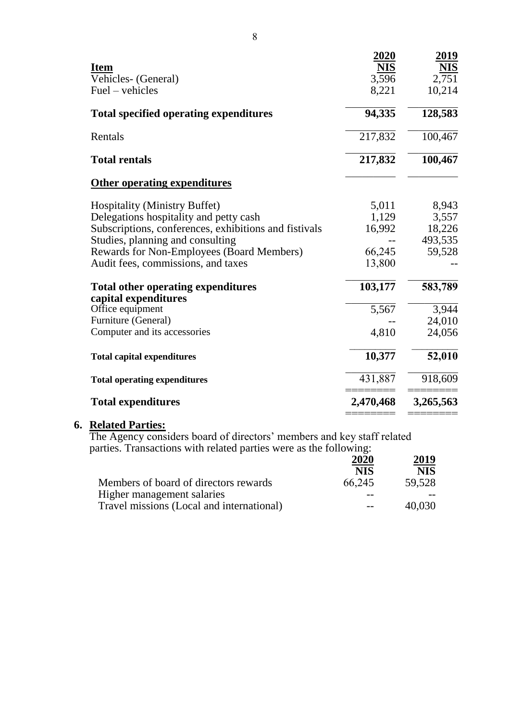|                                                                   | <u>2020</u>        | <u>2019</u>        |
|-------------------------------------------------------------------|--------------------|--------------------|
| <b>Item</b>                                                       | <b>NIS</b>         | <b>NIS</b>         |
| Vehicles- (General)                                               | 3,596              | $2,\overline{751}$ |
| $Fuel - vehicles$                                                 | 8,221              | 10,214             |
| Total specified operating expenditures                            | 94,335             | 128,583            |
| Rentals                                                           | 217,832            | 100,467            |
| <b>Total rentals</b>                                              | 217,832            | 100,467            |
| Other operating expenditures                                      |                    |                    |
| <b>Hospitality (Ministry Buffet)</b>                              | 5,011              | 8,943              |
| Delegations hospitality and petty cash                            | 1,129              | 3,557              |
| Subscriptions, conferences, exhibitions and fistivals             | 16,992             | 18,226             |
| Studies, planning and consulting                                  |                    | 493,535            |
| <b>Rewards for Non-Employees (Board Members)</b>                  | 66,245             | 59,528             |
| Audit fees, commissions, and taxes                                | 13,800             |                    |
| <b>Total other operating expenditures</b><br>capital expenditures | 103,177            | 583,789            |
| Office equipment                                                  | $\overline{5,567}$ | 3,944              |
| Furniture (General)                                               |                    | 24,010             |
| Computer and its accessories                                      | 4,810              | 24,056             |
| <b>Total capital expenditures</b>                                 | 10,377             | 52,010             |
| <b>Total operating expenditures</b>                               | 431,887            | 918,609            |
| <b>Total expenditures</b>                                         | 2,470,468          | 3,265,563          |
|                                                                   |                    |                    |

#### **6. Related Parties:**

The Agency considers board of directors' members and key staff related parties. Transactions with related parties were as the following:

|                                           | 2020       | 2019       |
|-------------------------------------------|------------|------------|
|                                           | <b>NIS</b> | <b>NIS</b> |
| Members of board of directors rewards     | 66.245     | 59,528     |
| Higher management salaries                |            |            |
| Travel missions (Local and international) |            | 40.030     |